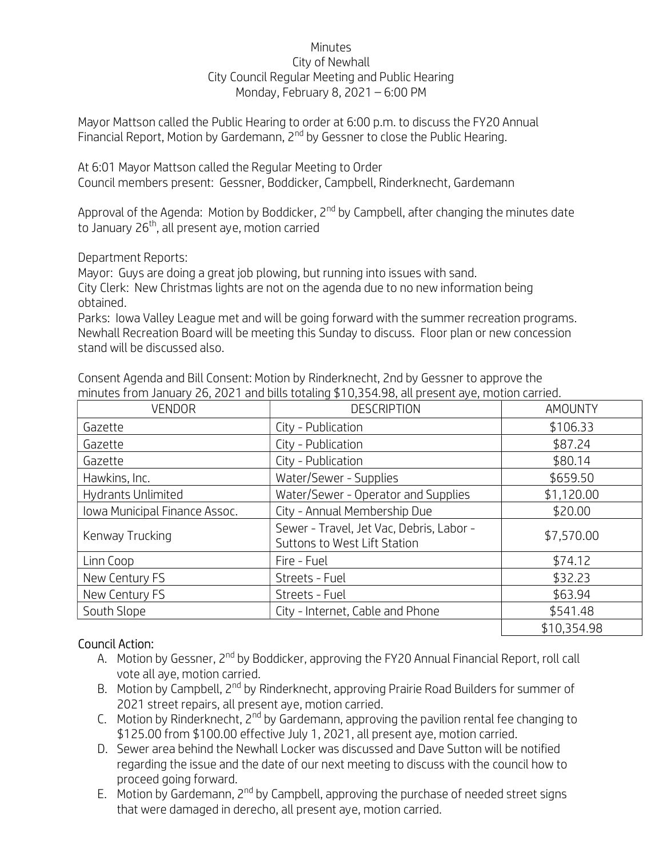## **Minutes** City of Newhall City Council Regular Meeting and Public Hearing Monday, February 8, 2021 – 6:00 PM

Mayor Mattson called the Public Hearing to order at 6:00 p.m. to discuss the FY20 Annual Financial Report, Motion by Gardemann,  $2^{nd}$  by Gessner to close the Public Hearing.

At 6:01 Mayor Mattson called the Regular Meeting to Order Council members present: Gessner, Boddicker, Campbell, Rinderknecht, Gardemann

Approval of the Agenda: Motion by Boddicker,  $2^{nd}$  by Campbell, after changing the minutes date to January 26<sup>th</sup>, all present ave, motion carried

Department Reports:

Mayor: Guys are doing a great job plowing, but running into issues with sand.

City Clerk: New Christmas lights are not on the agenda due to no new information being obtained.

Parks: Iowa Valley League met and will be going forward with the summer recreation programs. Newhall Recreation Board will be meeting this Sunday to discuss. Floor plan or new concession stand will be discussed also.

| <b>VENDOR</b>                 | <b>DESCRIPTION</b>                                                       | AMOUNTY     |
|-------------------------------|--------------------------------------------------------------------------|-------------|
| Gazette                       | City - Publication                                                       | \$106.33    |
| Gazette                       | City - Publication                                                       | \$87.24     |
| Gazette                       | City - Publication                                                       | \$80.14     |
| Hawkins, Inc.                 | Water/Sewer - Supplies                                                   | \$659.50    |
| Hydrants Unlimited            | Water/Sewer - Operator and Supplies                                      | \$1,120.00  |
| Iowa Municipal Finance Assoc. | City - Annual Membership Due                                             | \$20.00     |
| Kenway Trucking               | Sewer - Travel, Jet Vac, Debris, Labor -<br>Suttons to West Lift Station | \$7,570.00  |
| Linn Coop                     | Fire - Fuel                                                              | \$74.12     |
| New Century FS                | Streets - Fuel                                                           | \$32.23     |
| New Century FS                | Streets - Fuel                                                           | \$63.94     |
| South Slope                   | City - Internet, Cable and Phone                                         | \$541.48    |
|                               |                                                                          | \$10,354.98 |

Consent Agenda and Bill Consent: Motion by Rinderknecht, 2nd by Gessner to approve the minutes from January 26, 2021 and bills totaling \$10,354.98, all present aye, motion carried.

## Council Action:

- A. Motion by Gessner, 2<sup>nd</sup> by Boddicker, approving the FY20 Annual Financial Report, roll call vote all aye, motion carried.
- B. Motion by Campbell, 2<sup>nd</sup> by Rinderknecht, approving Prairie Road Builders for summer of 2021 street repairs, all present aye, motion carried.
- C. Motion by Rinderknecht,  $2^{nd}$  by Gardemann, approving the pavilion rental fee changing to \$125.00 from \$100.00 effective July 1, 2021, all present aye, motion carried.
- D. Sewer area behind the Newhall Locker was discussed and Dave Sutton will be notified regarding the issue and the date of our next meeting to discuss with the council how to proceed going forward.
- E. Motion by Gardemann,  $2^{nd}$  by Campbell, approving the purchase of needed street signs that were damaged in derecho, all present aye, motion carried.